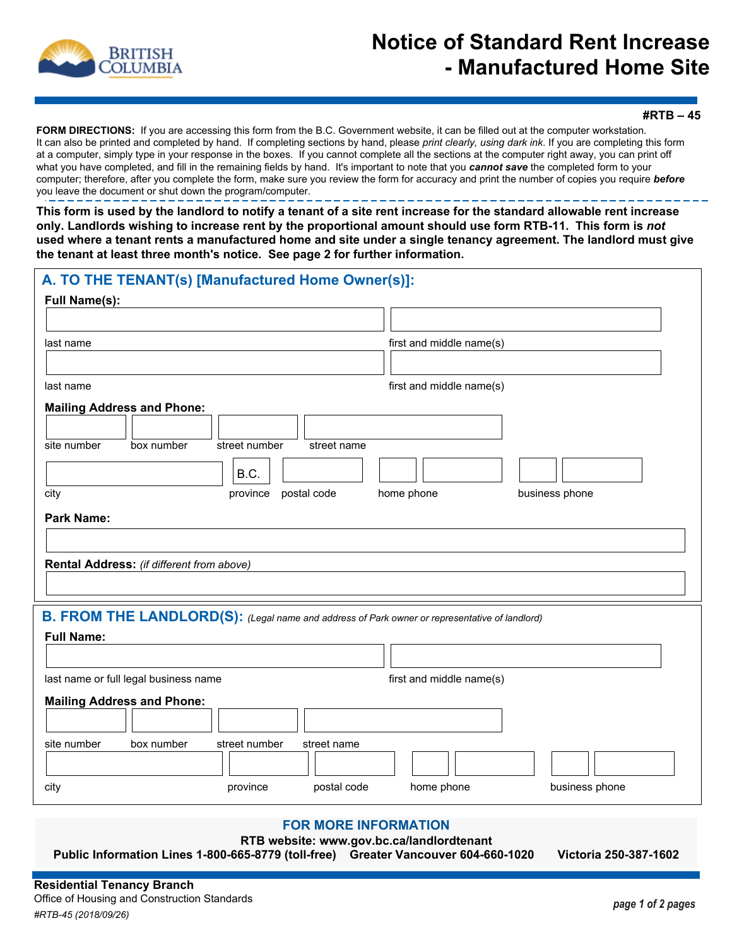

## **Notice of Standard Rent Increase - Manufactured Home Site**

**#RTB – 45**

**FORM DIRECTIONS:** If you are accessing this form from the B.C. Government website, it can be filled out at the computer workstation. It can also be printed and completed by hand. If completing sections by hand, please *print clearly, using dark ink*. If you are completing this form at a computer, simply type in your response in the boxes. If you cannot complete all the sections at the computer right away, you can print off what you have completed, and fill in the remaining fields by hand. It's important to note that you *cannot save* the completed form to your computer; therefore, after you complete the form, make sure you review the form for accuracy and print the number of copies you require *before* you leave the document or shut down the program/computer.

**This form is used by the landlord to notify a tenant of a site rent increase for the standard allowable rent increase only. Landlords wishing to increase rent by the proportional amount should use form RTB-11. This form is** *not* **used where a tenant rents a manufactured home and site under a single tenancy agreement. The landlord must give the tenant at least three month's notice. See page 2 for further information.**

| <b>Full Name(s):</b>                                                                          |
|-----------------------------------------------------------------------------------------------|
|                                                                                               |
|                                                                                               |
| first and middle name(s)<br>last name                                                         |
|                                                                                               |
| first and middle name(s)<br>last name                                                         |
| <b>Mailing Address and Phone:</b>                                                             |
|                                                                                               |
| site number<br>box number<br>street number<br>street name                                     |
| B.C.                                                                                          |
| city<br>postal code<br>home phone<br>business phone<br>province                               |
| <b>Park Name:</b>                                                                             |
|                                                                                               |
| Rental Address: (if different from above)                                                     |
|                                                                                               |
|                                                                                               |
| B. FROM THE LANDLORD(S): (Legal name and address of Park owner or representative of landlord) |
| <b>Full Name:</b>                                                                             |
|                                                                                               |
| first and middle name(s)<br>last name or full legal business name                             |
| <b>Mailing Address and Phone:</b>                                                             |
|                                                                                               |
| site number<br>box number<br>street number<br>street name                                     |
|                                                                                               |
| business phone<br>province<br>postal code<br>home phone<br>city                               |

## **FOR MORE INFORMATION**

**RTB website: www.gov.bc.ca/landlordtenant** 

**Public Information Lines 1-800-665-8779 (toll-free) Greater Vancouver 604-660-1020 Victoria 250-387-1602**